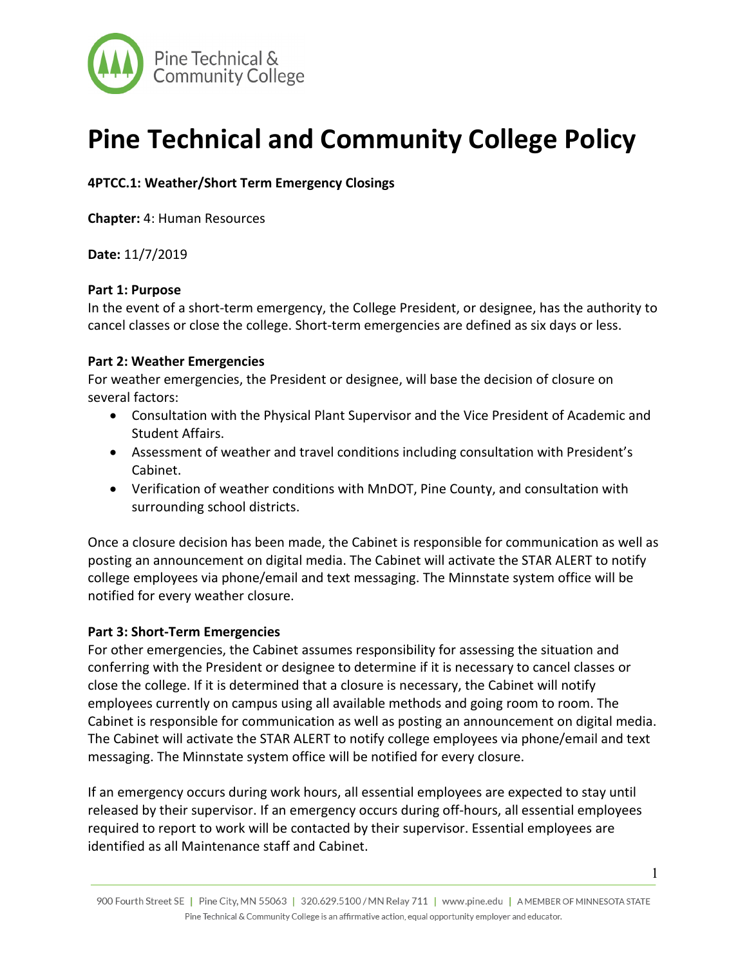

# **Pine Technical and Community College Policy**

**4PTCC.1: Weather/Short Term Emergency Closings**

**Chapter:** 4: Human Resources

**Date:** 11/7/2019

## **Part 1: Purpose**

In the event of a short-term emergency, the College President, or designee, has the authority to cancel classes or close the college. Short-term emergencies are defined as six days or less.

## **Part 2: Weather Emergencies**

For weather emergencies, the President or designee, will base the decision of closure on several factors:

- Consultation with the Physical Plant Supervisor and the Vice President of Academic and Student Affairs.
- Assessment of weather and travel conditions including consultation with President's Cabinet.
- Verification of weather conditions with MnDOT, Pine County, and consultation with surrounding school districts.

Once a closure decision has been made, the Cabinet is responsible for communication as well as posting an announcement on digital media. The Cabinet will activate the STAR ALERT to notify college employees via phone/email and text messaging. The Minnstate system office will be notified for every weather closure.

## **Part 3: Short-Term Emergencies**

For other emergencies, the Cabinet assumes responsibility for assessing the situation and conferring with the President or designee to determine if it is necessary to cancel classes or close the college. If it is determined that a closure is necessary, the Cabinet will notify employees currently on campus using all available methods and going room to room. The Cabinet is responsible for communication as well as posting an announcement on digital media. The Cabinet will activate the STAR ALERT to notify college employees via phone/email and text messaging. The Minnstate system office will be notified for every closure.

If an emergency occurs during work hours, all essential employees are expected to stay until released by their supervisor. If an emergency occurs during off-hours, all essential employees required to report to work will be contacted by their supervisor. Essential employees are identified as all Maintenance staff and Cabinet.